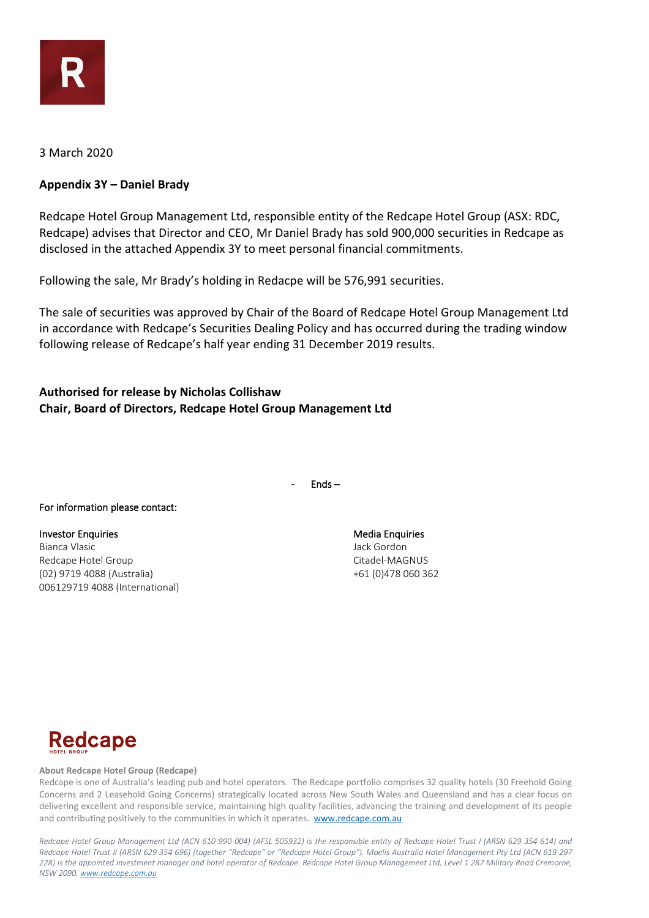

## 3 March 2020

# **Appendix 3Y – Daniel Brady**

Redcape Hotel Group Management Ltd, responsible entity of the Redcape Hotel Group (ASX: RDC, Redcape) advises that Director and CEO, Mr Daniel Brady has sold 900,000 securities in Redcape as disclosed in the attached Appendix 3Y to meet personal financial commitments.

Following the sale, Mr Brady's holding in Redacpe will be 576,991 securities.

The sale of securities was approved by Chair of the Board of Redcape Hotel Group Management Ltd in accordance with Redcape's Securities Dealing Policy and has occurred during the trading window following release of Redcape's half year ending 31 December 2019 results.

# **Authorised for release by Nicholas Collishaw Chair, Board of Directors, Redcape Hotel Group Management Ltd**

- Ends –

### For information please contact:

Investor Enquiries **Media Enquiries** Media Enquiries **Media Enquiries** Bianca Vlasic Jack Gordon Redcape Hotel Group **Citadel-MAGNUS** Citadel-MAGNUS (02) 9719 4088 (Australia) +61 (0)478 060 362 006129719 4088 (International)



### **About Redcape Hotel Group (Redcape)**

Redcape is one of Australia's leading pub and hotel operators. The Redcape portfolio comprises 32 quality hotels (30 Freehold Going Concerns and 2 Leasehold Going Concerns) strategically located across New South Wales and Queensland and has a clear focus on delivering excellent and responsible service, maintaining high quality facilities, advancing the training and development of its people and contributing positively to the communities in which it operates. [www.redcape.com.au](http://www.redcape.com.au/)

*Redcape Hotel Group Management Ltd (ACN 610 990 004) (AFSL 505932) is the responsible entity of Redcape Hotel Trust I (ARSN 629 354 614) and Redcape Hotel Trust II (ARSN 629 354 696) (together "Redcape" or "Redcape Hotel Group"). Moelis Australia Hotel Management Pty Ltd (ACN 619 297 228) is the appointed investment manager and hotel operator of Redcape. Redcape Hotel Group Management Ltd, Level 1 287 Military Road Cremorne, NSW 2090[. www.redcape.com.au](http://www.redcape.com.au/)*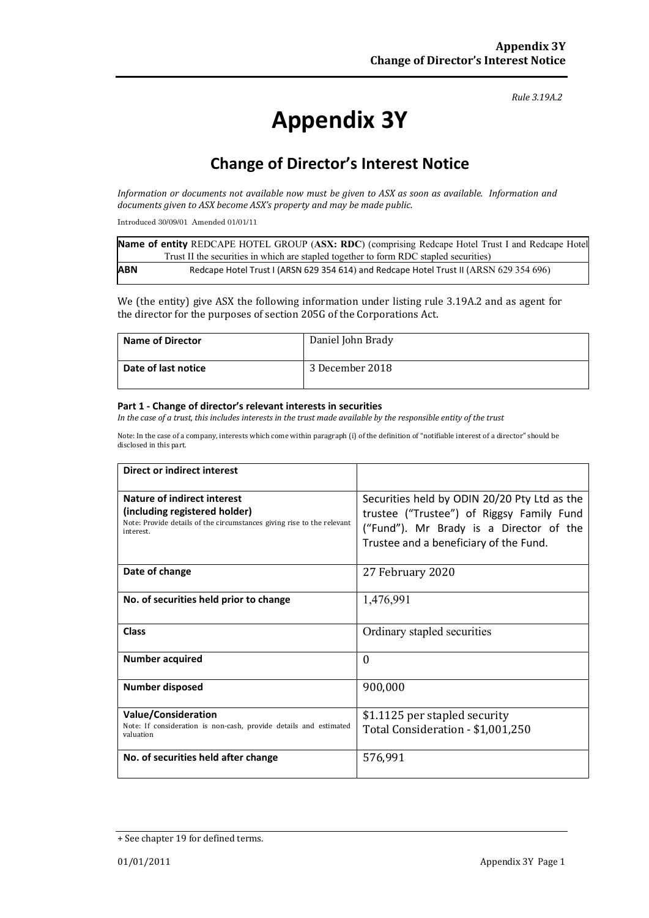### *Rule 3.19A.2*

# **Appendix 3Y**

# **Change of Director's Interest Notice**

*Information or documents not available now must be given to ASX as soon as available. Information and documents given to ASX become ASX's property and may be made public.*

Introduced 30/09/01 Amended 01/01/11

|            | Name of entity REDCAPE HOTEL GROUP (ASX: RDC) (comprising Redcape Hotel Trust I and Redcape Hotel |
|------------|---------------------------------------------------------------------------------------------------|
|            | Trust II the securities in which are stapled together to form RDC stapled securities)             |
| <b>ABN</b> | Redcape Hotel Trust I (ARSN 629 354 614) and Redcape Hotel Trust II (ARSN 629 354 696)            |

We (the entity) give ASX the following information under listing rule 3.19A.2 and as agent for the director for the purposes of section 205G of the Corporations Act.

| <b>Name of Director</b> | Daniel John Brady |
|-------------------------|-------------------|
| Date of last notice     | 3 December 2018   |

### **Part 1 - Change of director's relevant interests in securities**

*In the case of a trust, this includes interests in the trust made available by the responsible entity of the trust*

Note: In the case of a company, interests which come within paragraph (i) of the definition of "notifiable interest of a director" should be disclosed in this part.

| Direct or indirect interest                                                                                                                         |                                                                                                                                                                                |  |
|-----------------------------------------------------------------------------------------------------------------------------------------------------|--------------------------------------------------------------------------------------------------------------------------------------------------------------------------------|--|
| Nature of indirect interest<br>(including registered holder)<br>Note: Provide details of the circumstances giving rise to the relevant<br>interest. | Securities held by ODIN 20/20 Pty Ltd as the<br>trustee ("Trustee") of Riggsy Family Fund<br>("Fund"). Mr Brady is a Director of the<br>Trustee and a beneficiary of the Fund. |  |
| Date of change                                                                                                                                      | 27 February 2020                                                                                                                                                               |  |
| No. of securities held prior to change                                                                                                              | 1,476,991                                                                                                                                                                      |  |
| Class                                                                                                                                               | Ordinary stapled securities                                                                                                                                                    |  |
| Number acquired                                                                                                                                     | $\theta$                                                                                                                                                                       |  |
| <b>Number disposed</b>                                                                                                                              | 900,000                                                                                                                                                                        |  |
| <b>Value/Consideration</b><br>Note: If consideration is non-cash, provide details and estimated<br>valuation                                        | \$1.1125 per stapled security<br>Total Consideration - \$1,001,250                                                                                                             |  |
| No. of securities held after change                                                                                                                 | 576,991                                                                                                                                                                        |  |

<sup>+</sup> See chapter 19 for defined terms.